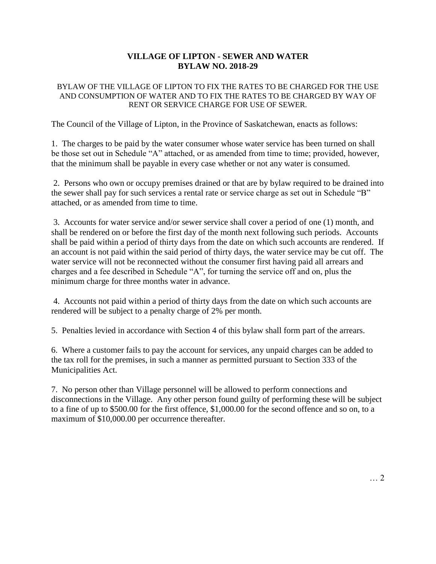## **VILLAGE OF LIPTON - SEWER AND WATER BYLAW NO. 2018-29**

## BYLAW OF THE VILLAGE OF LIPTON TO FIX THE RATES TO BE CHARGED FOR THE USE AND CONSUMPTION OF WATER AND TO FIX THE RATES TO BE CHARGED BY WAY OF RENT OR SERVICE CHARGE FOR USE OF SEWER.

The Council of the Village of Lipton, in the Province of Saskatchewan, enacts as follows:

1. The charges to be paid by the water consumer whose water service has been turned on shall be those set out in Schedule "A" attached, or as amended from time to time; provided, however, that the minimum shall be payable in every case whether or not any water is consumed.

2. Persons who own or occupy premises drained or that are by bylaw required to be drained into the sewer shall pay for such services a rental rate or service charge as set out in Schedule "B" attached, or as amended from time to time.

3. Accounts for water service and/or sewer service shall cover a period of one (1) month, and shall be rendered on or before the first day of the month next following such periods. Accounts shall be paid within a period of thirty days from the date on which such accounts are rendered. If an account is not paid within the said period of thirty days, the water service may be cut off. The water service will not be reconnected without the consumer first having paid all arrears and charges and a fee described in Schedule "A", for turning the service off and on, plus the minimum charge for three months water in advance.

4. Accounts not paid within a period of thirty days from the date on which such accounts are rendered will be subject to a penalty charge of 2% per month.

5. Penalties levied in accordance with Section 4 of this bylaw shall form part of the arrears.

6. Where a customer fails to pay the account for services, any unpaid charges can be added to the tax roll for the premises, in such a manner as permitted pursuant to Section 333 of the Municipalities Act.

7. No person other than Village personnel will be allowed to perform connections and disconnections in the Village. Any other person found guilty of performing these will be subject to a fine of up to \$500.00 for the first offence, \$1,000.00 for the second offence and so on, to a maximum of \$10,000.00 per occurrence thereafter.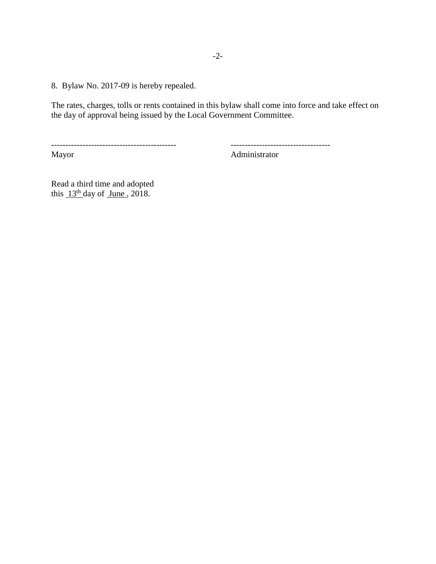8. Bylaw No. 2017-09 is hereby repealed.

The rates, charges, tolls or rents contained in this bylaw shall come into force and take effect on the day of approval being issued by the Local Government Committee.

-------------------------------------------- ----------------------------------- Administrator

Read a third time and adopted this  $13<sup>th</sup>$  day of June, 2018.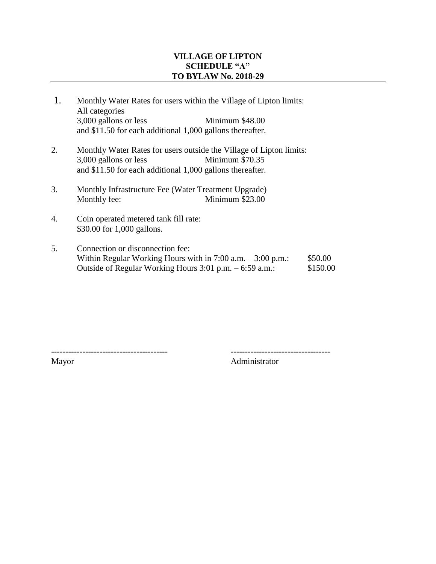## **VILLAGE OF LIPTON SCHEDULE "A" TO BYLAW No. 2018-29**

- 1. Monthly Water Rates for users within the Village of Lipton limits: All categories 3,000 gallons or less Minimum \$48.00 and \$11.50 for each additional 1,000 gallons thereafter.
- 2. Monthly Water Rates for users outside the Village of Lipton limits: 3,000 gallons or less Minimum \$70.35 and \$11.50 for each additional 1,000 gallons thereafter.
- 3. Monthly Infrastructure Fee (Water Treatment Upgrade) Monthly fee: Minimum \$23.00
- 4. Coin operated metered tank fill rate: \$30.00 for 1,000 gallons.
- 5. Connection or disconnection fee: Within Regular Working Hours with in  $7:00$  a.m.  $-3:00$  p.m.: \$50.00 Outside of Regular Working Hours  $3:01$  p.m.  $-6:59$  a.m.: \$150.00

----------------------------------------- ----------------------------------- Mayor Administrator